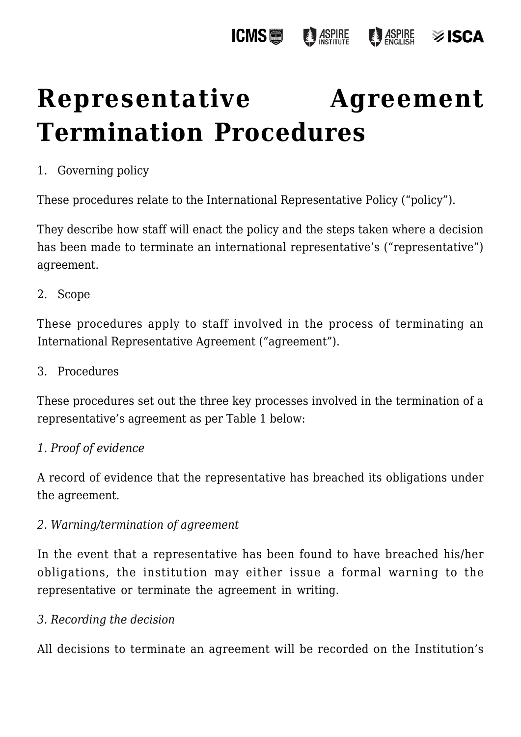

# **[Representative Agreement](https://policies.icms.edu.au/representative-agreement-termination-procedures/) [Termination Procedures](https://policies.icms.edu.au/representative-agreement-termination-procedures/)**

# 1. Governing policy

These procedures relate to the International Representative Policy ("policy").

They describe how staff will enact the policy and the steps taken where a decision has been made to terminate an international representative's ("representative") agreement.

### 2. Scope

These procedures apply to staff involved in the process of terminating an International Representative Agreement ("agreement").

#### 3. Procedures

These procedures set out the three key processes involved in the termination of a representative's agreement as per Table 1 below:

### *1. Proof of evidence*

A record of evidence that the representative has breached its obligations under the agreement.

### *2. Warning/termination of agreement*

In the event that a representative has been found to have breached his/her obligations, the institution may either issue a formal warning to the representative or terminate the agreement in writing.

### *3. Recording the decision*

All decisions to terminate an agreement will be recorded on the Institution's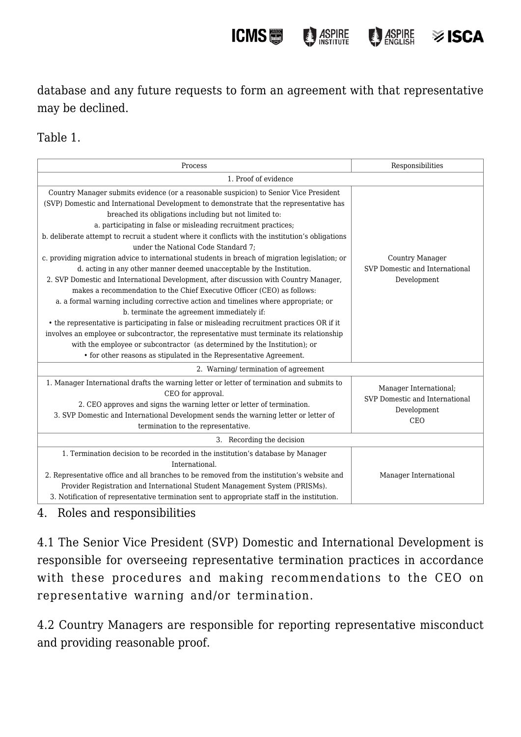database and any future requests to form an agreement with that representative may be declined.

**ICMS圖** 

**ASPIRE** 

**ASPIRE** 

**≫ISCA** 

## Table 1.

| Process                                                                                                                                                                                                                                                                                                                                                                                                                                                                                                                                                                                                                                                                                                                                                                                                                                                                                                                                                                                                                                                                                                                                                                                                                                                                                    | Responsibilities                                                                      |
|--------------------------------------------------------------------------------------------------------------------------------------------------------------------------------------------------------------------------------------------------------------------------------------------------------------------------------------------------------------------------------------------------------------------------------------------------------------------------------------------------------------------------------------------------------------------------------------------------------------------------------------------------------------------------------------------------------------------------------------------------------------------------------------------------------------------------------------------------------------------------------------------------------------------------------------------------------------------------------------------------------------------------------------------------------------------------------------------------------------------------------------------------------------------------------------------------------------------------------------------------------------------------------------------|---------------------------------------------------------------------------------------|
| 1. Proof of evidence                                                                                                                                                                                                                                                                                                                                                                                                                                                                                                                                                                                                                                                                                                                                                                                                                                                                                                                                                                                                                                                                                                                                                                                                                                                                       |                                                                                       |
| Country Manager submits evidence (or a reasonable suspicion) to Senior Vice President<br>(SVP) Domestic and International Development to demonstrate that the representative has<br>breached its obligations including but not limited to:<br>a. participating in false or misleading recruitment practices;<br>b. deliberate attempt to recruit a student where it conflicts with the institution's obligations<br>under the National Code Standard 7:<br>c. providing migration advice to international students in breach of migration legislation; or<br>d. acting in any other manner deemed unacceptable by the Institution.<br>2. SVP Domestic and International Development, after discussion with Country Manager,<br>makes a recommendation to the Chief Executive Officer (CEO) as follows:<br>a. a formal warning including corrective action and timelines where appropriate; or<br>b. terminate the agreement immediately if:<br>• the representative is participating in false or misleading recruitment practices OR if it<br>involves an employee or subcontractor, the representative must terminate its relationship<br>with the employee or subcontractor (as determined by the Institution); or<br>• for other reasons as stipulated in the Representative Agreement. | Country Manager<br>SVP Domestic and International<br>Development                      |
| 2. Warning/termination of agreement                                                                                                                                                                                                                                                                                                                                                                                                                                                                                                                                                                                                                                                                                                                                                                                                                                                                                                                                                                                                                                                                                                                                                                                                                                                        |                                                                                       |
| 1. Manager International drafts the warning letter or letter of termination and submits to<br>CEO for approval.<br>2. CEO approves and signs the warning letter or letter of termination.<br>3. SVP Domestic and International Development sends the warning letter or letter of<br>termination to the representative.                                                                                                                                                                                                                                                                                                                                                                                                                                                                                                                                                                                                                                                                                                                                                                                                                                                                                                                                                                     | Manager International;<br>SVP Domestic and International<br>Development<br><b>CEO</b> |
| 3. Recording the decision                                                                                                                                                                                                                                                                                                                                                                                                                                                                                                                                                                                                                                                                                                                                                                                                                                                                                                                                                                                                                                                                                                                                                                                                                                                                  |                                                                                       |
| 1. Termination decision to be recorded in the institution's database by Manager<br>International.<br>2. Representative office and all branches to be removed from the institution's website and<br>Provider Registration and International Student Management System (PRISMs).<br>3. Notification of representative termination sent to appropriate staff in the institution.                                                                                                                                                                                                                                                                                                                                                                                                                                                                                                                                                                                                                                                                                                                                                                                                                                                                                                              | Manager International                                                                 |

4. Roles and responsibilities

4.1 The Senior Vice President (SVP) Domestic and International Development is responsible for overseeing representative termination practices in accordance with these procedures and making recommendations to the CEO on representative warning and/or termination.

4.2 Country Managers are responsible for reporting representative misconduct and providing reasonable proof.